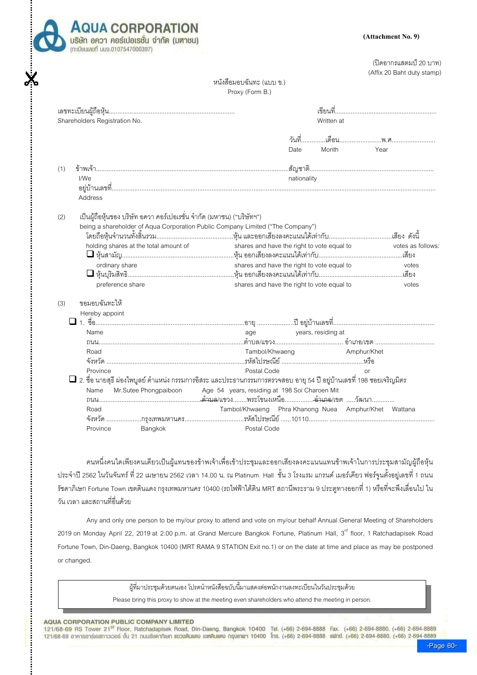

(ปิดอากรแสตมป์ 20 บาท) (Affix 20 Baht duty stamp)

## หนังสือมอบฉันทะ (แบบ ข.) Proxy (Form B.)

|                                                                                                                                                                                                                                                                                                                                                 | Month<br>Year<br>Date                                                                                                                                                         |
|-------------------------------------------------------------------------------------------------------------------------------------------------------------------------------------------------------------------------------------------------------------------------------------------------------------------------------------------------|-------------------------------------------------------------------------------------------------------------------------------------------------------------------------------|
| (1)<br>I/We<br>Address                                                                                                                                                                                                                                                                                                                          | nationality                                                                                                                                                                   |
| เป็นผู้ถือหุ้นของ บริษัท อควา คอร์เปอเรชั่น จำกัด (มหาชน) ("บริษัทฯ")<br>(2)<br>being a shareholder of Aqua Corporation Public Company Limited ("The Company")<br>holding shares at the total amount of<br>ordinary share<br>□ หุ้นบุริมสิทธิ……………………………………………………หุ้น ออกเสียงลงคะแนนได้เท่ากับ………………………………………เสียง<br>preference share         | shares and have the right to vote equal to<br>votes as follows:<br>shares and have the right to vote equal to<br>votes<br>shares and have the right to vote equal to<br>votes |
| ขอมอบฉันทะให้<br>(3)<br>Hereby appoint<br>Name<br>Road<br>Postal Code<br>Province<br>$\Box$ 2. ชื่อ นายสุธี ผ่องไพบูลย์ ตำแหน่ง กรรมการอิสระ และประธานกรรมการตรวจสอบ อายุ 54 ปี อยู่บ้านเลขที่ 198 ซอยเจริญมิตร<br>Age 54 years, residing at 198 Soi Charoen Mit<br>Mr.Sutee Phongpaiboon<br>Name<br>Road<br>Postal Code<br>Province<br>Bangkok | age years, residing at<br>Tambol/Khwaeng <b>Amphur/Khet</b><br>$\alpha$ r<br>Tambol/Khwaeng Phra Khanong Nuea Amphur/Khet Wattana                                             |

คนหนึ่งคนใดเพียงคนเดียวเป็นผู้แทนของข้าพเจ้าเพื่อเข้าประชุมและออกเสียงลงคะแนนแทนข้าพเจ้าในการประชุมสามัญผู้ถือหุ้น ประจำปี 2562 ในวันจันทร์ ที่ 22 เมษายน 2562 เวลา 14.00 น. ณ Platinum Hall ชั้น 3 โรงแรม แกรนด์ เมอร์เคียว ฟอร์จูนตั้งอยู่เลขที่ 1 ถนน รัชดาภิเษก Fortune Town เขตดินแดง กรุงเทพมหานคร 10400 (รถไฟฟ้าใต้ดิน MRT สถานีพระราม 9 ประตูทางออกที่ 1) หรือที่จะพึงเลื่อนไป ใน วัน เวลา และสถานที่อื่นด้วย

Any and only one person to be my/our proxy to attend and vote on my/our behalf Annual General Meeting of Shareholders 2019 on Monday April 22, 2019 at 2.00 p.m. at Grand Mercure Bangkok Fortune, Platinum Hall, 3<sup>rd</sup> floor, 1 Ratchadapisek Road Fortune Town, Din-Daeng, Bangkok 10400 (MRT RAMA 9 STATION Exit no.1) or on the date at time and place as may be postponed or changed.

ผู้ที่มาประชุมด้วยตนเอง โปรดนำหนังสือฉบับนี้มาแสดงต่อพนักงานลงทะเบียนในวันประชุมด้วย

Please bring this proxy to show at the meeting even shareholders who attend the meeting in person.

## AQUA CORPORATION PUBLIC COMPANY LIMITED

121/68-69 RS Tower 21<sup>st</sup> Floor, Ratchadapisek Road, Din-Daeng, Bangkok 10400 Tel. (+66) 2-694-8888 Fax. (+66) 2-694-8880, (+66) 2-694-8889 121/68-69 อาคารอาร์เอสทาวเวอร์ ชั้น 21 ถนนรัชคาภิเษก แขวงดินแดง เขตดินแดง กรุงเทพฯ 10400 โทร. (+66) 2-694-8888 แฟทซ์. (+66) 2-694-8880, (+66) 2-694-8889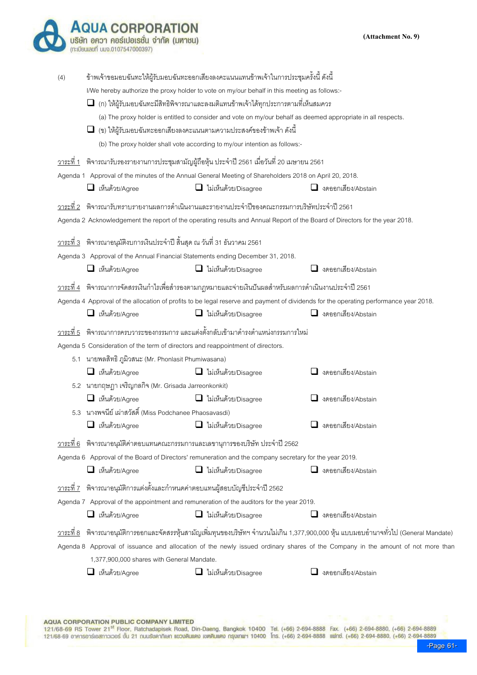|                  | <b>QUA CORPORATION</b><br>บริษัท อควา คอร์เปอเรชั่น จำกัด (มหาชน)<br>(ทะเบียนเลขที่ บมจ.0107547000397)                                                          |                                                                                                                                                                                                                                                                                                                                                                                                                                                                                                                                                                   | (Attachment No. 9)                                                                                                                                                                                                                                                              |
|------------------|-----------------------------------------------------------------------------------------------------------------------------------------------------------------|-------------------------------------------------------------------------------------------------------------------------------------------------------------------------------------------------------------------------------------------------------------------------------------------------------------------------------------------------------------------------------------------------------------------------------------------------------------------------------------------------------------------------------------------------------------------|---------------------------------------------------------------------------------------------------------------------------------------------------------------------------------------------------------------------------------------------------------------------------------|
| (4)              |                                                                                                                                                                 | ข้าพเจ้าขอมอบฉันทะให้ผู้รับมอบฉันทะออกเสียงลงคะแนนแทนข้าพเจ้าในการประชุมครั้งนี้ ดังนี้<br>I/We hereby authorize the proxy holder to vote on my/our behalf in this meeting as follows:-<br>$\Box$ (ก) ให้ผู้รับมอบฉันทะมีสิทธิพิจารณาและลงมติแทนข้าพเจ้าได้ทุกประการตามที่เห็นสมควร<br>(a) The proxy holder is entitled to consider and vote on my/our behalf as deemed appropriate in all respects.<br>$\Box$ (ข) ให้ผู้รับมอบฉันทะออกเสียงลงคะแนนตามความประสงค์ของข้าพเจ้า ดังนี้<br>(b) The proxy holder shall vote according to my/our intention as follows:- |                                                                                                                                                                                                                                                                                 |
| <u>วาระที่ 1</u> |                                                                                                                                                                 | ้พิจารณารับรองรายงานการประชุมสามัญผู้ถือหุ้น ประจำปี 2561 เมื่อวันที่ 20 เมษายน 2561                                                                                                                                                                                                                                                                                                                                                                                                                                                                              |                                                                                                                                                                                                                                                                                 |
|                  | $\Box$ เห็นด้วย/Agree                                                                                                                                           | Agenda 1 Approval of the minutes of the Annual General Meeting of Shareholders 2018 on April 20, 2018.<br>$\Box$ ไม่เห็นด้วย/Disagree                                                                                                                                                                                                                                                                                                                                                                                                                             | $\Box$ งดออกเสียง/Abstain                                                                                                                                                                                                                                                       |
| วาระที่ 2        | <u>วาระที่ 3</u> พิจารณาอนุมัติงบการเงินประจำปี สิ้นสุด ณ วันที่ 31 ธันวาคม 2561                                                                                | ี พิจารณารับทราบรายงานผลการดำเนินงานและรายงานประจำปีของคณะกรรมการบริษัทประจำปี 2561<br>Agenda 2 Acknowledgement the report of the operating results and Annual Report of the Board of Directors for the year 2018.                                                                                                                                                                                                                                                                                                                                                |                                                                                                                                                                                                                                                                                 |
|                  | $\Box$ เห็นด้วย/Agree                                                                                                                                           | Agenda 3 Approval of the Annual Financial Statements ending December 31, 2018.<br>$\Box$ ไม่เห็นด้วย/Disagree                                                                                                                                                                                                                                                                                                                                                                                                                                                     | $\Box$ งดออกเสียง/Abstain                                                                                                                                                                                                                                                       |
|                  | $\Box$ เห็นด้วย/Agree                                                                                                                                           | <u>วาระที่ 4</u> พิจารณาการจัดสรรเงินกำไรเพื่อสำรองตามกฎหมายและจ่ายเงินปันผลสำหรับผลการดำเนินงานประจำปี 2561<br>$\Box$ ไม่เห็นด้วย/Disagree                                                                                                                                                                                                                                                                                                                                                                                                                       | Agenda 4 Approval of the allocation of profits to be legal reserve and payment of dividends for the operating performance year 2018.<br>$\Box$ งดออกเสียง/Abstain                                                                                                               |
| วาระที่ 5        | Agenda 5 Consideration of the term of directors and reappointment of directors.<br>5.1 นายพลสิทธิ ภูมิวสนะ (Mr. Phonlasit Phumiwasana)<br>$\Box$ เห็นด้วย/Agree | ี พิจารณาการครบวาระของกรรมการ และแต่งตั้งกลับเข้ามาดำรงตำแหน่งกรรมการใหม่<br>$\Box$ ไม่เห็นด้วย/Disagree                                                                                                                                                                                                                                                                                                                                                                                                                                                          | 3ดออกเสียง/Abstain                                                                                                                                                                                                                                                              |
|                  | 5.2 นายกฤษฎา เจริญกลกิจ (Mr. Grisada Jarreonkonkit)<br>$\Box$ เห็นด้วย/Agree<br>5.3 นางพจนีย์ เผ่าสวัสดิ์ (Miss Podchanee Phaosavasdi)<br>$\Box$ เห็นด้วย/Agree | $\Box$ ไม่เห็นด้วย/Disagree<br>$\Box$ ไม่เห็นด้วย/Disagree                                                                                                                                                                                                                                                                                                                                                                                                                                                                                                        | $\Box$ งดออกเสียง/Abstain<br>งดออกเสียง/Abstain                                                                                                                                                                                                                                 |
| <u>วาระที่ 6</u> | $\Box$ เห็นด้วย/Agree                                                                                                                                           | พิจารณาอนุมัติค่าตอบแทนคณะกรรมการและเลขานุการของบริษัท ประจำปี 2562<br>Agenda 6 Approval of the Board of Directors' remuneration and the company secretary for the year 2019.<br>$\Box$ ไม่เห็นด้วย/Disagree                                                                                                                                                                                                                                                                                                                                                      | $\Box$ งดออกเสียง/Abstain                                                                                                                                                                                                                                                       |
|                  | <u>วาระที่ 7</u> พิจารณาอนุมัติการแต่งตั้งและกำหนดค่าตอบแทนผู้สอบบัญชีประจำปี 2562<br>$\Box$ เห็นด้วย/Agree                                                     | Agenda 7 Approval of the appointment and remuneration of the auditors for the year 2019.<br>$\Box$ ไม่เห็นด้วย/Disagree                                                                                                                                                                                                                                                                                                                                                                                                                                           | $\Box$ งดออกเสียง/Abstain                                                                                                                                                                                                                                                       |
|                  | 1,377,900,000 shares with General Mandate.                                                                                                                      |                                                                                                                                                                                                                                                                                                                                                                                                                                                                                                                                                                   | <u>วาระที่ 8</u> พิจารณาอนุมัติการออกและจัดสรรหุ้นสามัญเพิ่มทุนของบริษัทฯ จำนวนไม่เกิน 1,377,900,000 หุ้น แบบมอบอำนาจทั่วไป (General Mandate)<br>Agenda 8 Approval of issuance and allocation of the newly issued ordinary shares of the Company in the amount of not more than |
|                  | □ เห็นด้วย/Agree                                                                                                                                                | $\Box$ ไม่เห็นด้วย/Disagree                                                                                                                                                                                                                                                                                                                                                                                                                                                                                                                                       | $\Box$ งดออกเสียง/Abstain                                                                                                                                                                                                                                                       |

AQUA CORPORATION PUBLIC COMPANY LIMITED<br>121/68-69 RS Tower 21<sup>st</sup> Floor, Ratchadapisek Road, Din-Daeng, Bangkok 10400 Tel. (+66) 2-694-8888 Fax. (+66) 2-694-8880, (+66) 2-694-8889<br>121/68-69 อาคารอาร์เอสทาวเวอร์ ชั้น 21 ถนน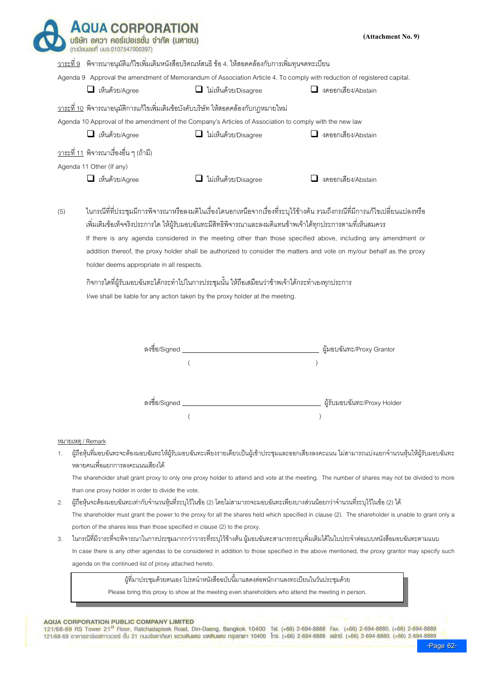|     |                                               | <u>วาระที่ 9</u> พิจารณาอนุมัติแก้ไขเพิ่มเติมหนังสือบริคณห์สนธิ ข้อ 4. ให้สอดคล้องกับการเพิ่มทุนจดทะเบียน                                                                        |                                                                                                                                                                                                                                                                                                                                                                      |
|-----|-----------------------------------------------|----------------------------------------------------------------------------------------------------------------------------------------------------------------------------------|----------------------------------------------------------------------------------------------------------------------------------------------------------------------------------------------------------------------------------------------------------------------------------------------------------------------------------------------------------------------|
|     |                                               |                                                                                                                                                                                  | Agenda 9 Approval the amendment of Memorandum of Association Article 4. To comply with reduction of registered capital.                                                                                                                                                                                                                                              |
|     | $\Box$ เห็นด้วย/Agree                         | $\Box$ ไม่เห็นด้วย/Disagree                                                                                                                                                      | $\Box$ งดออกเสียง/Abstain                                                                                                                                                                                                                                                                                                                                            |
|     |                                               | <u>วาระที่ 10</u> พิจารณาอนุมัติการแก้ไขเพิ่มเติมข้อบังคับบริษัท ให้สอดคล้องกับกฎหมายใหม่                                                                                        |                                                                                                                                                                                                                                                                                                                                                                      |
|     |                                               | Agenda 10 Approval of the amendment of the Company's Articles of Association to comply with the new law                                                                          |                                                                                                                                                                                                                                                                                                                                                                      |
|     | $\Box$ เห็นด้วย/Agree                         | ไม่เห็นด้วย/Disagree                                                                                                                                                             | $\Box$ งดออกเสียง/Abstain                                                                                                                                                                                                                                                                                                                                            |
|     | <u>วาระที่ 11</u> พิจารณาเรื่องอื่น ๆ (ถ้ามี) |                                                                                                                                                                                  |                                                                                                                                                                                                                                                                                                                                                                      |
|     | Agenda 11 Other (If any)                      |                                                                                                                                                                                  |                                                                                                                                                                                                                                                                                                                                                                      |
|     | $\Box$ เห็นด้วย/Agree                         | $\Box$ ไม่เห็นด้วย/Disagree                                                                                                                                                      | $\Box$ งดออกเสียง/Abstain                                                                                                                                                                                                                                                                                                                                            |
| (5) | holder deems appropriate in all respects.     | ้เพิ่มเติมข้อเท็จจริงประการใด ให้ผู้รับมอบฉันทะมีสิทธิพิจารณาและลงมติแทนข้าพเจ้าได้ทุกประการตามที่เห็นสมควร                                                                      | ในกรณีที่ที่ประชุมมีการพิจารณาหรือลงมติในเรื่องใดนอกเหนือจากเรื่องที่ระบุไว้ข้างต้น รวมถึงกรณีที่มีการแก้ไขเปลี่ยนแปลงหรือ<br>If there is any agenda considered in the meeting other than those specified above, including any amendment or<br>addition thereof, the proxy holder shall be authorized to consider the matters and vote on my/our behalf as the proxy |
|     |                                               | ้กิจการใดที่ผู้รับมอบฉันทะได้กระทำไปในการประชุมนั้น ให้ถือเสมือนว่าข้าพเจ้าได้กระทำเองทุกประการ<br>I/we shall be liable for any action taken by the proxy holder at the meeting. |                                                                                                                                                                                                                                                                                                                                                                      |
|     |                                               |                                                                                                                                                                                  |                                                                                                                                                                                                                                                                                                                                                                      |
|     | ลงชื่อ/Signed                                 |                                                                                                                                                                                  | ผู้มอบฉันทะ/Proxy Grantor                                                                                                                                                                                                                                                                                                                                            |
|     |                                               |                                                                                                                                                                                  |                                                                                                                                                                                                                                                                                                                                                                      |
|     |                                               |                                                                                                                                                                                  |                                                                                                                                                                                                                                                                                                                                                                      |

 The shareholder shall grant proxy to only one proxy holder to attend and vote at the meeting. The number of shares may not be divided to more than one proxy holder in order to divide the vote.

- 2. ผู้ถือหุ้นจะต้องมอบฉันทะเท่ากับจำนวนหุ้นที่ระบุไว้ในข้อ (2) โดยไม่สามารถจะมอบฉันทะเพียงบางส่วนน้อยกว่าจำนวนที่ระบุไว้ในข้อ (2) ได้ The shareholder must grant the power to the proxy for all the shares held which specified in clause (2). The shareholder is unable to grant only a portion of the shares less than those specified in clause (2) to the proxy.
- 3. ในกรณีที่มีวาระที่จะพิจารณาในการประชุมมากกว่าวาระที่ระบุไข้มาต้นทะสามารถระบุเพิ่มเติมได้ในใบประจำต่อแบบหนังสือมอบฉันทะตามแนบ In case there is any other agendas to be considered in addition to those specified in the above mentioned, the proxy grantor may specify such agenda on the continued list of proxy attached hereto.

ผู้ที่มาประชุมด้วยตนเอง โปรดนำหนังสือฉบับนี้มาแสดงต่อพนักงานลงทะเบียนในวันประชุมด้วย

Please bring this proxy to show at the meeting even shareholders who attend the meeting in person.

## AQUA CORPORATION PUBLIC COMPANY LIMITED

-Page 62-<br>121/68-69 RS Tower 21<sup>st</sup> Floor, Ratchadapisek Road, Din-Daeng, Bangkok 10400 Tel. (+66) 2-694-8888 Fax. (+66) 2-694-8880, (+66) 2-694-8889<br>121/68-69 อาคารอาร์เอสทาวเวอร์ ชั้น 21 ณนเรียคากิเษก แขวบดินแดง เขตดินแด